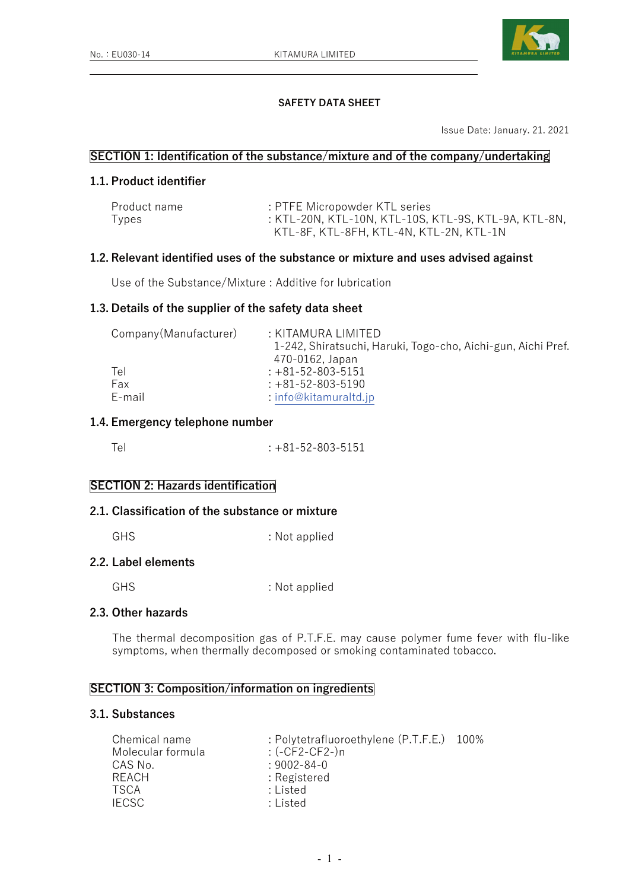

## **SAFETY DATA SHEET**

Issue Date: January. 21. 2021

### **SECTION 1: Identification of the substance/mixture and of the company/undertaking**

# **1.1. Product identifier**

| Product name | : PTFE Micropowder KTL series                        |
|--------------|------------------------------------------------------|
| Types        | : KTL-20N, KTL-10N, KTL-10S, KTL-9S, KTL-9A, KTL-8N, |
|              | KTL-8F, KTL-8FH, KTL-4N, KTL-2N, KTL-1N              |

# **1.2. Relevant identified uses of the substance or mixture and uses advised against**

Use of the Substance/Mixture : Additive for lubrication

#### **1.3. Details of the supplier of the safety data sheet**

| Company (Manufacturer) | : KITAMURA LIMITED                                           |
|------------------------|--------------------------------------------------------------|
|                        | 1-242, Shiratsuchi, Haruki, Togo-cho, Aichi-gun, Aichi Pref. |
|                        | 470-0162, Japan                                              |
| Tel                    | $: +81 - 52 - 803 - 5151$                                    |
| Fax                    | $: +81 - 52 - 803 - 5190$                                    |
| E-mail                 | $:$ info@kitamuraltd.jp                                      |

## **1.4. Emergency telephone number**

| $: +81 - 52 - 803 - 5151$ |
|---------------------------|
|                           |

## **SECTION 2: Hazards identification**

### **2.1. Classification of the substance or mixture**

GHS : Not applied

### **2.2. Label elements**

GHS : Not applied

## **2.3. Other hazards**

The thermal decomposition gas of P.T.F.E. may cause polymer fume fever with flu-like symptoms, when thermally decomposed or smoking contaminated tobacco.

## **SECTION 3: Composition/information on ingredients**

### **3.1. Substances**

| Chemical name     | : Polytetrafluoroethylene (P.T.F.E.) 100% |  |
|-------------------|-------------------------------------------|--|
| Molecular formula | $:($ -CF2-CF2- $)n$                       |  |
| CAS No.           | $: 9002 - 84 - 0$                         |  |
| RFACH             | : Registered                              |  |
| TSCA              | : Listed                                  |  |
| IFCSC             | : Listed                                  |  |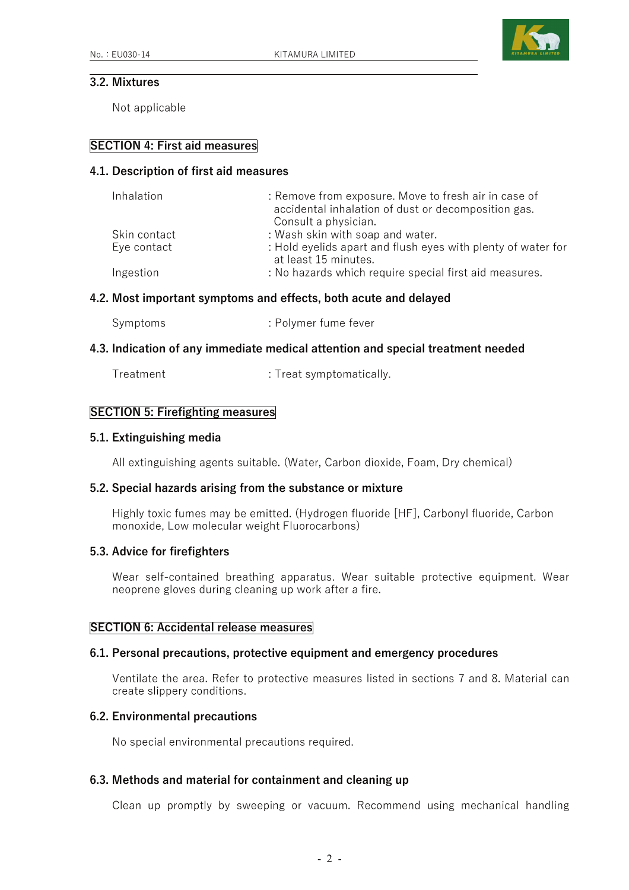

# **3.2. Mixtures**

Not applicable

## **SECTION 4: First aid measures**

### **4.1. Description of first aid measures**

| Inhalation   | : Remove from exposure. Move to fresh air in case of<br>accidental inhalation of dust or decomposition gas.<br>Consult a physician. |
|--------------|-------------------------------------------------------------------------------------------------------------------------------------|
| Skin contact | : Wash skin with soap and water.                                                                                                    |
| Eye contact  | : Hold eyelids apart and flush eyes with plenty of water for<br>at least 15 minutes.                                                |
| Ingestion    | : No hazards which require special first aid measures.                                                                              |

#### **4.2. Most important symptoms and effects, both acute and delayed**

|  | : Polymer fume fever |
|--|----------------------|

#### **4.3. Indication of any immediate medical attention and special treatment needed**

| Treatment | : Treat symptomatically. |
|-----------|--------------------------|
|-----------|--------------------------|

#### **SECTION 5: Firefighting measures**

#### **5.1. Extinguishing media**

All extinguishing agents suitable. (Water, Carbon dioxide, Foam, Dry chemical)

## **5.2. Special hazards arising from the substance or mixture**

 Highly toxic fumes may be emitted. (Hydrogen fluoride [HF], Carbonyl fluoride, Carbon monoxide, Low molecular weight Fluorocarbons)

#### **5.3. Advice for firefighters**

 Wear self-contained breathing apparatus. Wear suitable protective equipment. Wear neoprene gloves during cleaning up work after a fire.

#### **SECTION 6: Accidental release measures**

#### **6.1. Personal precautions, protective equipment and emergency procedures**

 Ventilate the area. Refer to protective measures listed in sections 7 and 8. Material can create slippery conditions.

# **6.2. Environmental precautions**

No special environmental precautions required.

## **6.3. Methods and material for containment and cleaning up**

Clean up promptly by sweeping or vacuum. Recommend using mechanical handling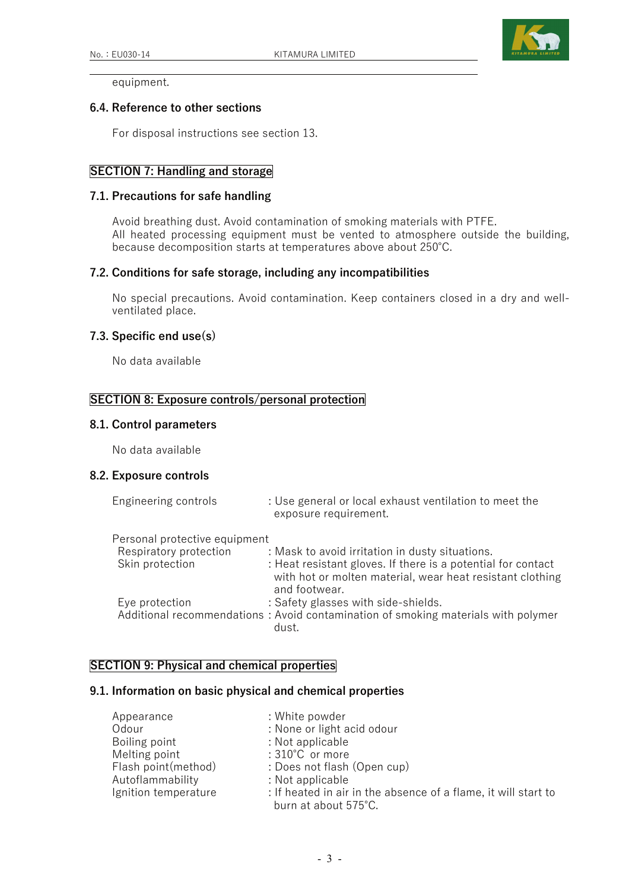

equipment.

### **6.4. Reference to other sections**

For disposal instructions see section 13.

## **SECTION 7: Handling and storage**

#### **7.1. Precautions for safe handling**

 Avoid breathing dust. Avoid contamination of smoking materials with PTFE. All heated processing equipment must be vented to atmosphere outside the building, because decomposition starts at temperatures above about 250℃.

#### **7.2. Conditions for safe storage, including any incompatibilities**

 No special precautions. Avoid contamination. Keep containers closed in a dry and wellventilated place.

#### **7.3. Specific end use(s)**

No data available

# **SECTION 8: Exposure controls/personal protection**

### **8.1. Control parameters**

No data available

#### **8.2. Exposure controls**

| Engineering controls          | : Use general or local exhaust ventilation to meet the<br>exposure requirement.                                                            |
|-------------------------------|--------------------------------------------------------------------------------------------------------------------------------------------|
| Personal protective equipment |                                                                                                                                            |
| Respiratory protection        | : Mask to avoid irritation in dusty situations.                                                                                            |
| Skin protection               | : Heat resistant gloves. If there is a potential for contact<br>with hot or molten material, wear heat resistant clothing<br>and footwear. |
| Eye protection                | : Safety glasses with side-shields.                                                                                                        |
|                               | Additional recommendations: Avoid contamination of smoking materials with polymer<br>dust.                                                 |

# **SECTION 9: Physical and chemical properties**

## **9.1. Information on basic physical and chemical properties**

| Appearance           | : White powder                                                                         |
|----------------------|----------------------------------------------------------------------------------------|
| Odour                | : None or light acid odour                                                             |
| Boiling point        | : Not applicable                                                                       |
| Melting point        | : 310°C or more                                                                        |
| Flash point(method)  | : Does not flash (Open cup)                                                            |
| Autoflammability     | : Not applicable                                                                       |
| Ignition temperature | : If heated in air in the absence of a flame, it will start to<br>burn at about 575°C. |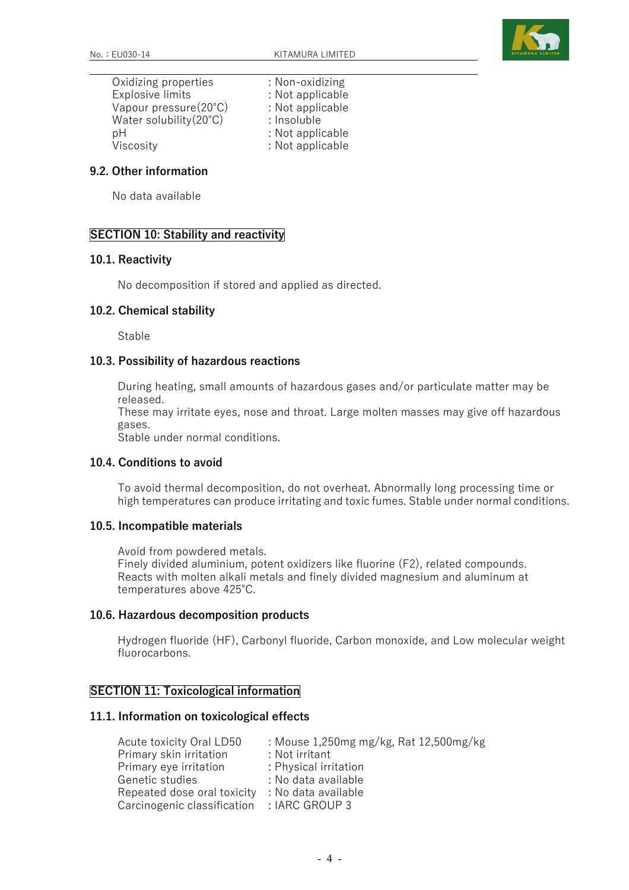

 Oxidizing properties : Non-oxidizing Explosive limits : Not applicable Vapour pressure(20°C) : Not applicable<br>Water solubility(20°C) : Insoluble Water solubility $(20^{\circ}C)$ pH : Not applicable Viscosity : Not applicable

# **9.2. Other information**

No data available

## **SECTION 10: Stability and reactivity**

#### **10.1. Reactivity**

No decomposition if stored and applied as directed.

#### **10.2. Chemical stability**

Stable

#### **10.3. Possibility of hazardous reactions**

 During heating, small amounts of hazardous gases and/or particulate matter may be released.

 These may irritate eyes, nose and throat. Large molten masses may give off hazardous gases.

Stable under normal conditions.

### **10.4. Conditions to avoid**

 To avoid thermal decomposition, do not overheat. Abnormally long processing time or high temperatures can produce irritating and toxic fumes. Stable under normal conditions.

#### **10.5. Incompatible materials**

 Avoid from powdered metals. Finely divided aluminium, potent oxidizers like fluorine (F2), related compounds. Reacts with molten alkali metals and finely divided magnesium and aluminum at temperatures above 425℃.

### **10.6. Hazardous decomposition products**

 Hydrogen fluoride (HF), Carbonyl fluoride, Carbon monoxide, and Low molecular weight fluorocarbons.

### **SECTION 11: Toxicological information**

#### **11.1. Information on toxicological effects**

| : Mouse 1,250mg mg/kg, Rat 12,500mg/kg |
|----------------------------------------|
|                                        |
| : Physical irritation                  |
| : No data available                    |
| : No data available                    |
| : IARC GROUP 3                         |
|                                        |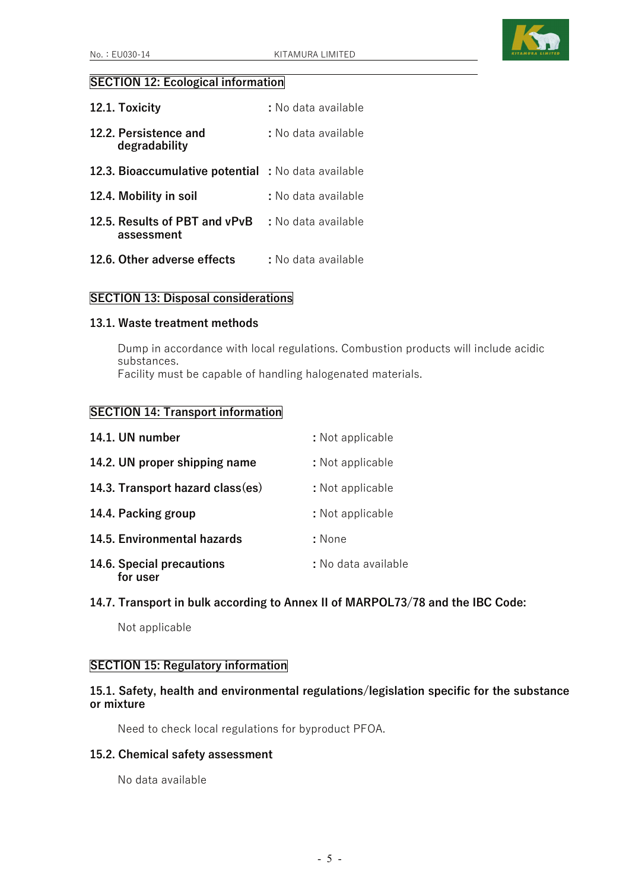

# **SECTION 12: Ecological information**

| 12.1. Toxicity                                      | : No data available |
|-----------------------------------------------------|---------------------|
| 12.2. Persistence and<br>degradability              | : No data available |
| 12.3. Bioaccumulative potential : No data available |                     |
| 12.4. Mobility in soil                              | : No data available |
| 12.5. Results of PBT and vPvB<br>assessment         | : No data available |
| 12.6. Other adverse effects                         | : No data available |

## **SECTION 13: Disposal considerations**

#### **13.1. Waste treatment methods**

 Dump in accordance with local regulations. Combustion products will include acidic substances.

Facility must be capable of handling halogenated materials.

## **SECTION 14: Transport information**

| 14.1. UN number                       | : Not applicable    |
|---------------------------------------|---------------------|
| 14.2. UN proper shipping name         | : Not applicable    |
| 14.3. Transport hazard class(es)      | : Not applicable    |
| 14.4. Packing group                   | : Not applicable    |
| 14.5. Environmental hazards           | : None              |
| 14.6. Special precautions<br>for user | : No data available |

## **14.7. Transport in bulk according to Annex II of MARPOL73/78 and the IBC Code:**

Not applicable

## **SECTION 15: Regulatory information**

# **15.1. Safety, health and environmental regulations/legislation specific for the substance or mixture**

Need to check local regulations for byproduct PFOA.

## **15.2. Chemical safety assessment**

No data available